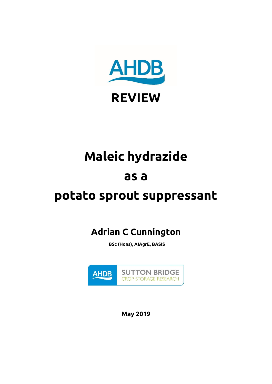

# **Maleic hydrazide**

## **as a**

# **potato sprout suppressant**

## **Adrian C Cunnington**

**BSc (Hons), AIAgrE, BASIS**



**May 2019**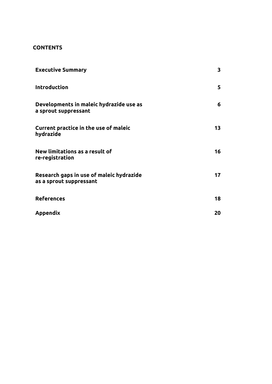#### **CONTENTS**

| <b>Executive Summary</b>                                            | 3  |
|---------------------------------------------------------------------|----|
| <b>Introduction</b>                                                 | 5  |
| Developments in maleic hydrazide use as<br>a sprout suppressant     | 6  |
| Current practice in the use of maleic<br>hydrazide                  | 13 |
| New limitations as a result of<br>re-registration                   | 16 |
| Research gaps in use of maleic hydrazide<br>as a sprout suppressant | 17 |
| <b>References</b>                                                   | 18 |
| Appendix                                                            | 20 |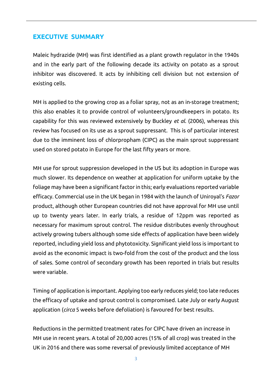#### **EXECUTIVE SUMMARY**

Maleic hydrazide (MH) was first identified as a plant growth regulator in the 1940s and in the early part of the following decade its activity on potato as a sprout inhibitor was discovered. It acts by inhibiting cell division but not extension of existing cells.

MH is applied to the growing crop as a foliar spray, not as an in-storage treatment; this also enables it to provide control of volunteers/groundkeepers in potato. Its capability for this was reviewed extensively by Buckley *et al*. (2006), whereas this review has focused on its use as a sprout suppressant. This is of particular interest due to the imminent loss of chlorpropham (CIPC) as the main sprout suppressant used on stored potato in Europe for the last fifty years or more.

MH use for sprout suppression developed in the US but its adoption in Europe was much slower. Its dependence on weather at application for uniform uptake by the foliage may have been a significant factor in this; early evaluations reported variable efficacy. Commercial use in the UK began in 1984 with the launch of Uniroyal's *Fazor*  product, although other European countries did not have approval for MH use until up to twenty years later. In early trials, a residue of 12ppm was reported as necessary for maximum sprout control. The residue distributes evenly throughout actively growing tubers although some side effects of application have been widely reported, including yield loss and phytotoxicity. Significant yield loss is important to avoid as the economic impact is two-fold from the cost of the product and the loss of sales. Some control of secondary growth has been reported in trials but results were variable.

Timing of application is important. Applying too early reduces yield; too late reduces the efficacy of uptake and sprout control is compromised. Late July or early August application (*circa* 5 weeks before defoliation) is favoured for best results.

Reductions in the permitted treatment rates for CIPC have driven an increase in MH use in recent years. A total of 20,000 acres (15% of all crop) was treated in the UK in 2016 and there was some reversal of previously limited acceptance of MH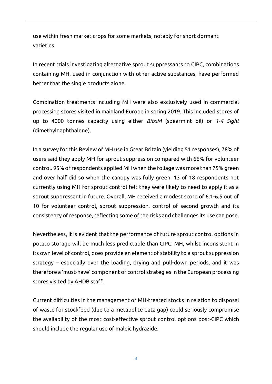use within fresh market crops for some markets, notably for short dormant varieties.

In recent trials investigating alternative sprout suppressants to CIPC, combinations containing MH, used in conjunction with other active substances, have performed better that the single products alone.

Combination treatments including MH were also exclusively used in commercial processing stores visited in mainland Europe in spring 2019. This included stores of up to 4000 tonnes capacity using either *BioxM* (spearmint oil) or *1-4 Sight* (dimethylnaphthalene).

In a survey for this Review of MH use in Great Britain (yielding 51 responses), 78% of users said they apply MH for sprout suppression compared with 66% for volunteer control. 95% of respondents applied MH when the foliage was more than 75% green and over half did so when the canopy was fully green. 13 of 18 respondents not currently using MH for sprout control felt they were likely to need to apply it as a sprout suppressant in future. Overall, MH received a modest score of 6.1-6.5 out of 10 for volunteer control, sprout suppression, control of second growth and its consistency of response, reflecting some of the risks and challenges its use can pose.

Nevertheless, it is evident that the performance of future sprout control options in potato storage will be much less predictable than CIPC. MH, whilst inconsistent in its own level of control, does provide an element of stability to a sprout suppression strategy – especially over the loading, drying and pull-down periods, and it was therefore a 'must-have' component of control strategies in the European processing stores visited by AHDB staff.

Current difficulties in the management of MH-treated stocks in relation to disposal of waste for stockfeed (due to a metabolite data gap) could seriously compromise the availability of the most cost-effective sprout control options post-CIPC which should include the regular use of maleic hydrazide.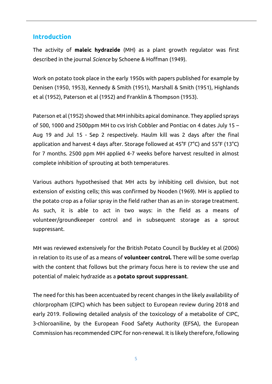#### **Introduction**

The activity of **maleic hydrazide** (MH) as a plant growth regulator was first described in the journal *Science* by Schoene & Hoffman (1949).

Work on potato took place in the early 1950s with papers published for example by Denisen (1950, 1953), Kennedy & Smith (1951), Marshall & Smith (1951), Highlands et al (1952), Paterson et al (1952) and Franklin & Thompson (1953).

Paterson et al (1952) showed that MH inhibits apical dominance. They applied sprays of 500, 1000 and 2500ppm MH to cvs Irish Cobbler and Pontiac on 4 dates July 15 – Aug 19 and Jul 15 - Sep 2 respectively. Haulm kill was 2 days after the final application and harvest 4 days after. Storage followed at 45°F (7°C) and 55°F (13°C) for 7 months. 2500 ppm MH applied 4-7 weeks before harvest resulted in almost complete inhibition of sprouting at both temperatures.

Various authors hypothesised that MH acts by inhibiting cell division, but not extension of existing cells; this was confirmed by Nooden (1969). MH is applied to the potato crop as a foliar spray in the field rather than as an in- storage treatment. As such, it is able to act in two ways: in the field as a means of volunteer/groundkeeper control and in subsequent storage as a sprout suppressant.

MH was reviewed extensively for the British Potato Council by Buckley et al (2006) in relation to its use of as a means of **volunteer control.** There will be some overlap with the content that follows but the primary focus here is to review the use and potential of maleic hydrazide as a **potato sprout suppressant**.

The need for this has been accentuated by recent changes in the likely availability of chlorpropham (CIPC) which has been subject to European review during 2018 and early 2019. Following detailed analysis of the toxicology of a metabolite of CIPC, 3-chloroaniline, by the European Food Safety Authority (EFSA), the European Commission has recommended CIPC for non-renewal. It is likely therefore, following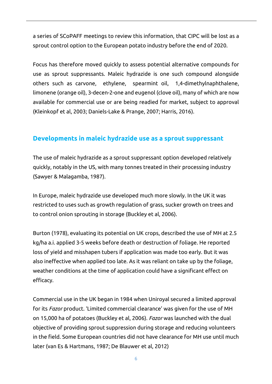a series of SCoPAFF meetings to review this information, that CIPC will be lost as a sprout control option to the European potato industry before the end of 2020.

Focus has therefore moved quickly to assess potential alternative compounds for use as sprout suppressants. Maleic hydrazide is one such compound alongside others such as carvone, ethylene, spearmint oil, 1,4-dimethylnaphthalene, limonene (orange oil), 3-decen-2-one and eugenol (clove oil), many of which are now available for commercial use or are being readied for market, subject to approval (Kleinkopf et al, 2003; Daniels-Lake & Prange, 2007; Harris, 2016).

### **Developments in maleic hydrazide use as a sprout suppressant**

The use of maleic hydrazide as a sprout suppressant option developed relatively quickly, notably in the US, with many tonnes treated in their processing industry (Sawyer & Malagamba, 1987).

In Europe, maleic hydrazide use developed much more slowly. In the UK it was restricted to uses such as growth regulation of grass, sucker growth on trees and to control onion sprouting in storage (Buckley et al, 2006).

Burton (1978), evaluating its potential on UK crops, described the use of MH at 2.5 kg/ha a.i. applied 3-5 weeks before death or destruction of foliage. He reported loss of yield and misshapen tubers if application was made too early. But it was also ineffective when applied too late. As it was reliant on take up by the foliage, weather conditions at the time of application could have a significant effect on efficacy.

Commercial use in the UK began in 1984 when Uniroyal secured a limited approval for its *Fazor* product. 'Limited commercial clearance' was given for the use of MH on 15,000 ha of potatoes (Buckley et al, 2006). *Fazor* was launched with the dual objective of providing sprout suppression during storage and reducing volunteers in the field. Some European countries did not have clearance for MH use until much later (van Es & Hartmans, 1987; De Blauwer et al, 2012)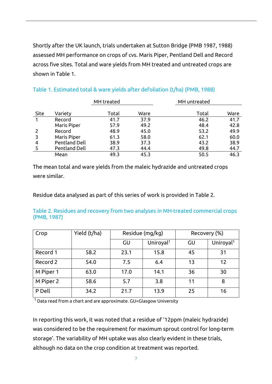Shortly after the UK launch, trials undertaken at Sutton Bridge (PMB 1987, 1988) assessed MH performance on crops of cvs. Maris Piper, Pentland Dell and Record across five sites. Total and ware yields from MH treated and untreated crops are shown in Table 1.

|      |                      | MH treated |      | MH untreated |      |
|------|----------------------|------------|------|--------------|------|
| Site | Variety              | Total      | Ware | Total        | Ware |
| 1    | Record               | 41.7       | 37.9 | 46.2         | 41.7 |
|      | Maris Piper          | 57.9       | 49.2 | 48.4         | 42.8 |
|      | Record               | 48.9       | 45.0 | 53.2         | 49.9 |
| 3    | Maris Piper          | 61.3       | 58.0 | 62.1         | 60.0 |
| 4    | <b>Pentland Dell</b> | 38.9       | 37.3 | 43.2         | 38.9 |
|      | <b>Pentland Dell</b> | 47.3       | 44.4 | 49.8         | 44.7 |
|      | Mean                 | 49.3       | 45.3 | 50.5         | 46.3 |

| Table 1. Estimated total & ware yields after defoliation (t/ha) (PMB, 1988) |  |  |  |  |
|-----------------------------------------------------------------------------|--|--|--|--|
|-----------------------------------------------------------------------------|--|--|--|--|

The mean total and ware yields from the maleic hydrazide and untreated crops were similar.

Residue data analysed as part of this series of work is provided in Table 2.

Table 2. Residues and recovery from two analyses in MH-treated commercial crops (PMB, 1987)

| Crop      | Yield (t/ha) | Residue (mg/kg) |                       | Recovery (%) |                       |  |  |
|-----------|--------------|-----------------|-----------------------|--------------|-----------------------|--|--|
|           |              | GU              | Uniroyal <sup>1</sup> | GU           | Uniroyal <sup>1</sup> |  |  |
| Record 1  | 58.2         | 23.1            | 15.8                  | 45           | 31                    |  |  |
| Record 2  | 54.0         | 7.5             | 6.4                   | 13           | 12                    |  |  |
| M Piper 1 | 63.0         | 17.0            | 14.1                  | 36           | 30                    |  |  |
| M Piper 2 | 58.6         | 5.7             | 3.8                   | 11           | 8                     |  |  |
| P Dell    | 34.2         | 21.7            | 13.9                  | 25           | 16                    |  |  |

 $1$  Data read from a chart and are approximate. GU=Glasgow University

In reporting this work, it was noted that a residue of '12ppm (maleic hydrazide) was considered to be the requirement for maximum sprout control for long-term storage'. The variability of MH uptake was also clearly evident in these trials, although no data on the crop condition at treatment was reported.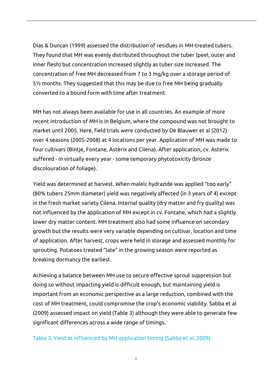Dias & Duncan (1999) assessed the distribution of residues in MH-treated tubers. They found that MH was evenly distributed throughout the tuber (peel, outer and inner flesh) but concentration increased slightly as tuber size increased. The concentration of free MH decreased from 7 to 3 mg/kg over a storage period of 5½ months. They suggested that this may be due to free MH being gradually converted to a bound form with time after treatment*.*

MH has not always been available for use in all countries. An example of more recent introduction of MH is in Belgium, where the compound was not brought to market until 2005. Here, field trials were conducted by De Blauwer et al (2012) over 4 seasons (2005-2008) at 4 locations per year. Application of MH was made to four cultivars (Bintje, Fontane, Asterix and Cilena). After application, cv. Asterix suffered - in virtually every year - some temporary phytotoxicity (bronze discolouration of foliage).

Yield was determined at harvest. When maleic hydrazide was applied "too early" (80% tubers 25mm diameter) yield was negatively affected (in 3 years of 4) except in the fresh market variety Cilena. Internal quality (dry matter and fry quality) was not influenced by the application of MH except in cv. Fontane, which had a slightly lower dry matter content. MH treatment also had some influence on secondary growth but the results were very variable depending on cultivar, location and time of application. After harvest, crops were held in storage and assessed monthly for sprouting. Potatoes treated "late" in the growing season were reported as breaking dormancy the earliest.

Achieving a balance between MH use to secure effective sprout suppression but doing so without impacting yield is difficult enough, but maintaining yield is important from an economic perspective as a large reduction, combined with the cost of MH treatment, could compromise the crop's economic viability. Sabba et al (2009) assessed impact on yield (Table 3) although they were able to generate few significant differences across a wide range of timings.

Table 3. Yield as influenced by MH application timing (Sabba et al, 2009)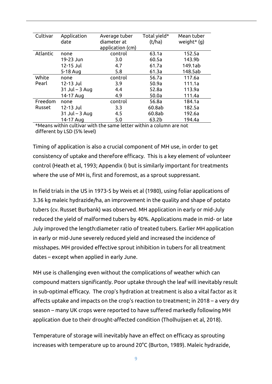| Cultivar | Application        | Average tuber    | Total yield* | Mean tuber    |
|----------|--------------------|------------------|--------------|---------------|
|          | date               | diameter at      | (t/ha)       | weight* $(g)$ |
|          |                    | application (cm) |              |               |
| Atlantic | none               | control          | 63.1a        | 152.5a        |
|          | 19-23 Jun          | 3.0              | 60.5a        | 143.9b        |
|          | 12-15 Jul          | 4.7              | 61.7a        | 149.1ab       |
|          | 5-18 Aug           | 5.8              | 61.3a        | 148.5ab       |
| White    | none               | control          | 56.7a        | 117.6a        |
| Pearl    | 12-13 Jul          | 3.9              | 50.9a        | 111.1a        |
|          | $31$ Jul – $3$ Aug | 4.4              | 52.8a        | 113.9a        |
|          | 14-17 Aug          | 4.9              | 50.0a        | 111.4a        |
| Freedom  | none               | control          | 56.8a        | 184.1a        |
| Russet   | 12-13 Jul          | 3.3              | 60.8ab       | 182.5a        |
|          | $31$ Jul – 3 Aug   | 4.5              | 60.8ab       | 192.6a        |
|          | 14-17 Aug          | 5.0              | 63.2b        | 194.4a        |

\*Means within cultivar with the same letter within a column are not different by LSD (5% level)

Timing of application is also a crucial component of MH use, in order to get consistency of uptake and therefore efficacy. This is a key element of volunteer control (Heath et al, 1993; Appendix I) but is similarly important for treatments where the use of MH is, first and foremost, as a sprout suppressant.

In field trials in the US in 1973-5 by Weis et al (1980), using foliar applications of 3.36 kg maleic hydrazide/ha, an improvement in the quality and shape of potato tubers (cv. Russet Burbank) was observed. MH application in early or mid-July reduced the yield of malformed tubers by 40%. Applications made in mid- or late July improved the length:diameter ratio of treated tubers. Earlier MH application in early or mid-June severely reduced yield and increased the incidence of misshapes. MH provided effective sprout inhibition in tubers for all treatment dates – except when applied in early June.

MH use is challenging even without the complications of weather which can compound matters significantly. Poor uptake through the leaf will inevitably result in sub-optimal efficacy. The crop's hydration at treatment is also a vital factor as it affects uptake and impacts on the crop's reaction to treatment; in 2018 – a very dry season – many UK crops were reported to have suffered markedly following MH application due to their drought-affected condition (Tholhuijsen et al, 2018).

Temperature of storage will inevitably have an effect on efficacy as sprouting increases with temperature up to around 20°C (Burton, 1989). Maleic hydrazide,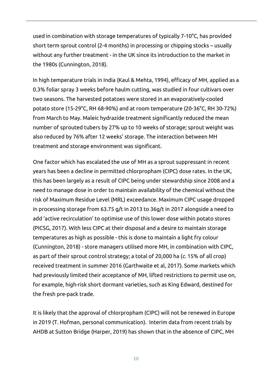used in combination with storage temperatures of typically 7-10°C, has provided short term sprout control (2-4 months) in processing or chipping stocks – usually without any further treatment - in the UK since its introduction to the market in the 1980s (Cunnington, 2018).

In high temperature trials in India (Kaul & Mehta, 1994), efficacy of MH, applied as a 0.3% foliar spray 3 weeks before haulm cutting, was studied in four cultivars over two seasons. The harvested potatoes were stored in an evaporatively-cooled potato store (15-29°C, RH 68-90%) and at room temperature (20-36°C, RH 30-72%) from March to May. Maleic hydrazide treatment significantly reduced the mean number of sprouted tubers by 27% up to 10 weeks of storage; sprout weight was also reduced by 76% after 12 weeks' storage. The interaction between MH treatment and storage environment was significant.

One factor which has escalated the use of MH as a sprout suppressant in recent years has been a decline in permitted chlorpropham (CIPC) dose rates. In the UK, this has been largely as a result of CIPC being under stewardship since 2008 and a need to manage dose in order to maintain availability of the chemical without the risk of Maximum Residue Level (MRL) exceedance. Maximum CIPC usage dropped in processing storage from 63.75 g/t in 2013 to 36g/t in 2017 alongside a need to add 'active recirculation' to optimise use of this lower dose within potato stores (PICSG, 2017). With less CIPC at their disposal and a desire to maintain storage temperatures as high as possible - this is done to maintain a light fry colour (Cunnington, 2018) - store managers utilised more MH, in combination with CIPC, as part of their sprout control strategy; a total of 20,000 ha (*c*. 15% of all crop) received treatment in summer 2016 (Garthwaite et al, 2017). Some markets which had previously limited their acceptance of MH, lifted restrictions to permit use on, for example, high-risk short dormant varieties, such as King Edward, destined for the fresh pre-pack trade.

It is likely that the approval of chlorpropham (CIPC) will not be renewed in Europe in 2019 (T. Hofman, personal communication). Interim data from recent trials by AHDB at Sutton Bridge (Harper, 2019) has shown that in the absence of CIPC, MH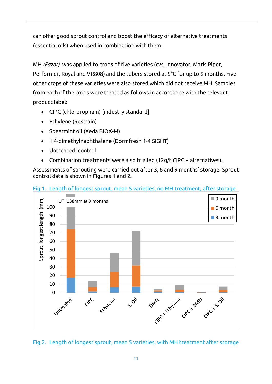can offer good sprout control and boost the efficacy of alternative treatments (essential oils) when used in combination with them.

MH *(Fazor)* was applied to crops of five varieties (cvs. Innovator, Maris Piper, Performer, Royal and VR808) and the tubers stored at 9°C for up to 9 months. Five other crops of these varieties were also stored which did not receive MH. Samples from each of the crops were treated as follows in accordance with the relevant product label:

- CIPC (chlorpropham) [industry standard]
- Ethylene (Restrain)
- Spearmint oil (Xeda BIOX-M)
- 1,4-dimethylnaphthalene (Dormfresh 1-4 SIGHT)
- Untreated [control]
- Combination treatments were also trialled (12g/t CIPC + alternatives).

Assessments of sprouting were carried out after 3, 6 and 9 months' storage. Sprout control data is shown in Figures 1 and 2.





#### Fig 2. Length of longest sprout, mean 5 varieties, with MH treatment after storage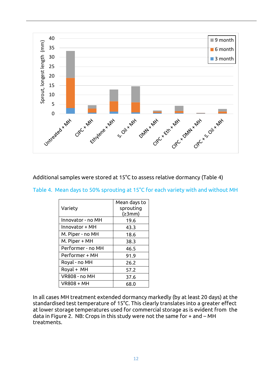

#### Additional samples were stored at 15°C to assess relative dormancy (Table 4)

#### Table 4. Mean days to 50% sprouting at 15°C for each variety with and without MH

|                      | Mean days to |
|----------------------|--------------|
| Variety              | sprouting    |
|                      | (23mm)       |
| Innovator - no MH    | 19.6         |
| Innovator + MH       | 43.3         |
| M. Piper - no MH     | 18.6         |
| M. Piper + MH        | 38.3         |
| Performer - no MH    | 46.5         |
| Performer + MH       | 91.9         |
| Royal - no MH        | 26.2         |
| Royal + MH           | 57.2         |
| <b>VR808 - no MH</b> | 37.6         |
| <b>VR808 + MH</b>    | 68.0         |

In all cases MH treatment extended dormancy markedly (by at least 20 days) at the standardised test temperature of 15°C. This clearly translates into a greater effect at lower storage temperatures used for commercial storage as is evident from the data in Figure 2. NB: Crops in this study were not the same for + and – MH treatments.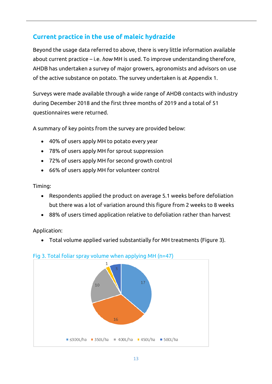## **Current practice in the use of maleic hydrazide**

Beyond the usage data referred to above, there is very little information available about current practice – i.e. *how* MH is used. To improve understanding therefore, AHDB has undertaken a survey of major growers, agronomists and advisors on use of the active substance on potato. The survey undertaken is at Appendix 1.

Surveys were made available through a wide range of AHDB contacts with industry during December 2018 and the first three months of 2019 and a total of 51 questionnaires were returned.

A summary of key points from the survey are provided below:

- 40% of users apply MH to potato every year
- 78% of users apply MH for sprout suppression
- 72% of users apply MH for second growth control
- 66% of users apply MH for volunteer control

Timing:

- Respondents applied the product on average 5.1 weeks before defoliation but there was a lot of variation around this figure from 2 weeks to 8 weeks
- 88% of users timed application relative to defoliation rather than harvest

Application:

• Total volume applied varied substantially for MH treatments (Figure 3).



#### Fig 3. Total foliar spray volume when applying MH (n=47)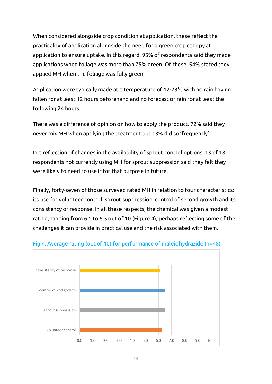When considered alongside crop condition at application, these reflect the practicality of application alongside the need for a green crop canopy at application to ensure uptake. In this regard, 95% of respondents said they made applications when foliage was more than 75% green. Of these, 54% stated they applied MH when the foliage was fully green.

Application were typically made at a temperature of 12-23°C with no rain having fallen for at least 12 hours beforehand and no forecast of rain for at least the following 24 hours.

There was a difference of opinion on how to apply the product. 72% said they never mix MH when applying the treatment but 13% did so 'frequently'.

In a reflection of changes in the availability of sprout control options, 13 of 18 respondents not currently using MH for sprout suppression said they felt they were likely to need to use it for that purpose in future.

Finally, forty-seven of those surveyed rated MH in relation to four characteristics: its use for volunteer control, sprout suppression, control of second growth and its consistency of response. In all these respects, the chemical was given a modest rating, ranging from 6.1 to 6.5 out of 10 (Figure 4), perhaps reflecting some of the challenges it can provide in practical use and the risk associated with them.



#### Fig 4. Average rating (out of 10) for performance of maleic hydrazide (n=48)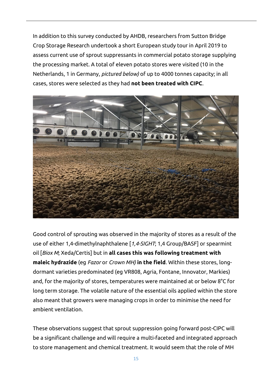In addition to this survey conducted by AHDB, researchers from Sutton Bridge Crop Storage Research undertook a short European study tour in April 2019 to assess current use of sprout suppressants in commercial potato storage supplying the processing market. A total of eleven potato stores were visited (10 in the Netherlands, 1 in Germany, *pictured below)* of up to 4000 tonnes capacity; in all cases, stores were selected as they had **not been treated with CIPC**.



Good control of sprouting was observed in the majority of stores as a result of the use of either 1,4-dimethylnaphthalene [*1,4-SIGHT*; 1,4 Group/BASF] or spearmint oil [*Biox M*; Xeda/Certis] but in **all cases this was following treatment with maleic hydrazide** (eg *Fazor* or *Crown MH)* **in the field**. Within these stores, longdormant varieties predominated (eg VR808, Agria, Fontane, Innovator, Markies) and, for the majority of stores, temperatures were maintained at or below 8°C for long term storage. The volatile nature of the essential oils applied within the store also meant that growers were managing crops in order to minimise the need for ambient ventilation.

These observations suggest that sprout suppression going forward post-CIPC will be a significant challenge and will require a multi-faceted and integrated approach to store management and chemical treatment. It would seem that the role of MH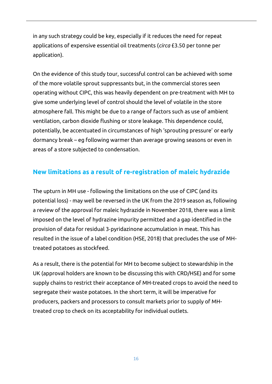in any such strategy could be key, especially if it reduces the need for repeat applications of expensive essential oil treatments (*circa* £3.50 per tonne per application).

On the evidence of this study tour, successful control can be achieved with some of the more volatile sprout suppressants but, in the commercial stores seen operating without CIPC, this was heavily dependent on pre-treatment with MH to give some underlying level of control should the level of volatile in the store atmosphere fall. This might be due to a range of factors such as use of ambient ventilation, carbon dioxide flushing or store leakage. This dependence could, potentially, be accentuated in circumstances of high 'sprouting pressure' or early dormancy break – eg following warmer than average growing seasons or even in areas of a store subjected to condensation.

## **New limitations as a result of re-registration of maleic hydrazide**

The upturn in MH use - following the limitations on the use of CIPC (and its potential loss) - may well be reversed in the UK from the 2019 season as, following a review of the approval for maleic hydrazide in November 2018, there was a limit imposed on the level of hydrazine impurity permitted and a gap identified in the provision of data for residual 3‐pyridazinone accumulation in meat. This has resulted in the issue of a label condition (HSE, 2018) that precludes the use of MHtreated potatoes as stockfeed.

As a result, there is the potential for MH to become subject to stewardship in the UK (approval holders are known to be discussing this with CRD/HSE) and for some supply chains to restrict their acceptance of MH-treated crops to avoid the need to segregate their waste potatoes. In the short term, it will be imperative for producers, packers and processors to consult markets prior to supply of MHtreated crop to check on its acceptability for individual outlets.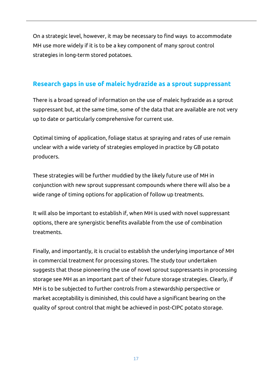On a strategic level, however, it may be necessary to find ways to accommodate MH use more widely if it is to be a key component of many sprout control strategies in long-term stored potatoes.

## **Research gaps in use of maleic hydrazide as a sprout suppressant**

There is a broad spread of information on the use of maleic hydrazide as a sprout suppressant but, at the same time, some of the data that are available are not very up to date or particularly comprehensive for current use.

Optimal timing of application, foliage status at spraying and rates of use remain unclear with a wide variety of strategies employed in practice by GB potato producers.

These strategies will be further muddied by the likely future use of MH in conjunction with new sprout suppressant compounds where there will also be a wide range of timing options for application of follow up treatments.

It will also be important to establish if, when MH is used with novel suppressant options, there are synergistic benefits available from the use of combination treatments.

Finally, and importantly, it is crucial to establish the underlying importance of MH in commercial treatment for processing stores. The study tour undertaken suggests that those pioneering the use of novel sprout suppressants in processing storage see MH as an important part of their future storage strategies. Clearly, if MH is to be subjected to further controls from a stewardship perspective or market acceptability is diminished, this could have a significant bearing on the quality of sprout control that might be achieved in post-CIPC potato storage.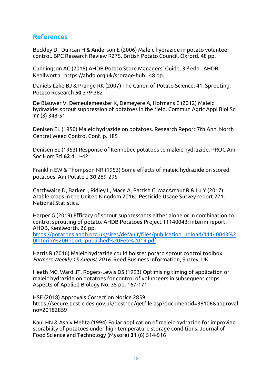#### **References**

Buckley D, Duncan H & Anderson E (2006) Maleic hydrazide in potato volunteer control. BPC Research Review R275. British Potato Council, Oxford. 48 pp.

Cunnington AC (2018) AHDB Potato Store Managers' Guide, 3rd edn. AHDB. Kenilworth. https://ahdb.org.uk/storage-hub. 48 pp.

Daniels-Lake BJ & Prange RK (2007) The Canon of Potato Science: 41. Sprouting. Potato Research **50** 379-382

De Blauwer V, Demeulemeester K, Demeyere A, Hofmans E (2012) Maleic hydrazide: sprout suppression of potatoes in the field. Commun Agric Appl Biol Sci **77** (3) 343-51

Denisen EL (1950) Maleic hydrazide on potatoes. Research Report 7th Ann. North Central Weed Control Conf. p. 185

Denisen EL (1953) Response of Kennebec potatoes to maleic hydrazide. PROC Am Soc Hort Sci **62** 411-421

Franklin EW & Thompson NR (1953) Some effects of maleic hydrazide on stored potatoes. Am Potato J **30** 289-295

Garthwaite D, Barker I, Ridley L, Mace A, Parrish G, MacArthur R & Lu Y (2017) Arable crops in the United Kingdom 2016: Pesticide Usage Survey report 271. National Statistics.

Harper G (2019) Efficacy of sprout suppressants either alone or in combination to control sprouting of potato. AHDB Potatoes Project 11140043: interim report. AHDB, Kenilworth. 26 pp.

[https://potatoes.ahdb.org.uk/sites/default/files/publication\\_upload/11140043%2](https://potatoes.ahdb.org.uk/sites/default/files/publication_upload/11140043%20Interim%20Report_published%20Feb%2019.pdf) [0Interim%20Report\\_published%20Feb%2019.pdf](https://potatoes.ahdb.org.uk/sites/default/files/publication_upload/11140043%20Interim%20Report_published%20Feb%2019.pdf)

Harris R (2016) Maleic hydrazide could bolster potato sprout control toolbox. *Farmers Weekly 15 August 2016.* Reed Business Information, Surrey, UK

Heath MC, Ward JT, Rogers-Lewis DS (1993) Optimising timing of application of maleic hydrazide on potatoes for control of volunteers in subsequent crops. Aspects of Applied Biology No. 35 pp. 167-171

HSE (2018) Approvals Correction Notice 2859. https://secure.pesticides.gov.uk/pestreg/getfile.asp?documentid=38106&approval no=20182859

Kaul HN & Ashiv Mehta (1994) Foliar application of maleic hydrazide for improving storability of potatoes under high temperature storage conditions. Journal of Food Science and Technology (Mysore) **31** (6) 514-516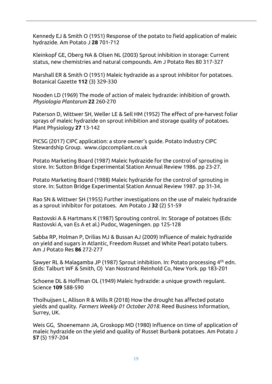Kennedy EJ & Smith O (1951) Response of the potato to field application of maleic hydrazide. Am Potato J **28** 701-712

Kleinkopf GE, Oberg NA & Olsen NL (2003) Sprout inhibition in storage: Current status, new chemistries and natural compounds. Am J Potato Res 80 317-327

Marshall ER & Smith O (1951) Maleic hydrazide as a sprout inhibitor for potatoes. Botanical Gazette **112** (3) 329-330

Nooden LD (1969) The mode of action of maleic hydrazide: inhibition of growth. *Physiologia Plantarum* **22** 260-270

Paterson D, Wittwer SH, Weller LE & Sell HM (1952) The effect of pre-harvest foliar sprays of maleic hydrazide on sprout inhibition and storage quality of potatoes. Plant Physiology **27** 13-142

PICSG (2017) CIPC application: a store owner's guide. Potato Industry CIPC Stewardship Group. www.cipccompliant.co.uk

Potato Marketing Board (1987) Maleic hydrazide for the control of sprouting in store. In: Sutton Bridge Experimental Station Annual Review 1986. pp 23-27.

Potato Marketing Board (1988) Maleic hydrazide for the control of sprouting in store. In: Sutton Bridge Experimental Station Annual Review 1987. pp 31-34.

Rao SN & Wittwer SH (1955) Further investigations on the use of maleic hydrazide as a sprout inhibitor for potatoes. Am Potato J **32** (2) 51-59

Rastovski A & Hartmans K (1987) Sprouting control. In: Storage of potatoes (Eds: Rastovski A, van Es A et al.) Pudoc, Wageningen. pp 125-128

Sabba RP, Holman P, Drilias MJ & Bussan AJ (2009) Influence of maleic hydrazide on yield and sugars in Atlantic, Freedom Russet and White Pearl potato tubers. Am J Potato Res **86** 272-277

Sawyer RL & Malagamba JP (1987) Sprout inhibition. In: Potato processing 4th edn. (Eds: Talburt WF & Smith, O) Van Nostrand Reinhold Co, New York. pp 183-201

Schoene DL & Hoffman OL (1949) Maleic hydrazide: a unique growth regulant. Science **109** 588-590

Tholhuijsen L, Allison R & Wills R (2018) How the drought has affected potato yields and quality. *Farmers Weekly 01 October 2018.* Reed Business Information, Surrey, UK.

Weis GG, Shoenemann JA, Groskopp MD (1980) Influence on time of application of maleic hydrazide on the yield and quality of Russet Burbank potatoes. Am Potato J **57** (5) 197-204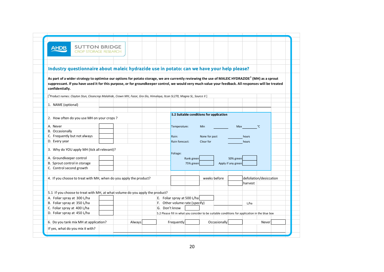| <b>SUTTON BRIDGE</b><br><b>AHDB</b><br><b>CROP STORAGE RESEARCH</b>                                                                                          |        |               |                                |            |               |                                         |                    |                                                                                                                 |                                                                                                |  |
|--------------------------------------------------------------------------------------------------------------------------------------------------------------|--------|---------------|--------------------------------|------------|---------------|-----------------------------------------|--------------------|-----------------------------------------------------------------------------------------------------------------|------------------------------------------------------------------------------------------------|--|
|                                                                                                                                                              |        |               |                                |            |               |                                         |                    |                                                                                                                 |                                                                                                |  |
|                                                                                                                                                              |        |               |                                |            |               |                                         |                    |                                                                                                                 |                                                                                                |  |
| Industry questionnaire about maleic hydrazide use in potato: can we have your help please?                                                                   |        |               |                                |            |               |                                         |                    |                                                                                                                 |                                                                                                |  |
|                                                                                                                                                              |        |               |                                |            |               |                                         |                    |                                                                                                                 |                                                                                                |  |
| As part of a wider strategy to optimise our options for potato storage, we are currently reviewing the use of MALEIC HYDRAZIDE <sup>1</sup> (MH) as a sprout |        |               |                                |            |               |                                         |                    |                                                                                                                 |                                                                                                |  |
| suppressant. If you have used it for this purpose, or for groundkeeper control, we would very much value your feedback. All responses will be treated        |        |               |                                |            |               |                                         |                    |                                                                                                                 |                                                                                                |  |
| confidentially.                                                                                                                                              |        |               |                                |            |               |                                         |                    |                                                                                                                 |                                                                                                |  |
| [ <sup>1</sup> Product names: Clayton Stun, Cleancrop Malahide, Crown MH, Fazor, Gro-Slo, Himalaya, Itcan SL270, Magna SL, Source II]                        |        |               |                                |            |               |                                         |                    |                                                                                                                 |                                                                                                |  |
|                                                                                                                                                              |        |               |                                |            |               |                                         |                    |                                                                                                                 |                                                                                                |  |
| 1. NAME (optional)                                                                                                                                           |        |               |                                |            |               |                                         |                    |                                                                                                                 |                                                                                                |  |
|                                                                                                                                                              |        |               |                                |            |               |                                         |                    |                                                                                                                 |                                                                                                |  |
| 2. How often do you use MH on your crops?                                                                                                                    |        |               |                                |            |               | 5.2 Suitable conditions for application |                    |                                                                                                                 |                                                                                                |  |
|                                                                                                                                                              |        |               |                                |            |               |                                         |                    |                                                                                                                 |                                                                                                |  |
| A. Never                                                                                                                                                     |        |               | Temperature:                   |            | <b>Min</b>    |                                         |                    | Max and the Maximum of the Maximum of the Maximum of the Maximum of the Maximum of the Maximum of the Maximum o | °C                                                                                             |  |
| B. Occasionally                                                                                                                                              |        |               |                                |            |               |                                         |                    |                                                                                                                 |                                                                                                |  |
| C. Frequently but not always                                                                                                                                 |        |               | Rain:                          |            | None for past |                                         |                    | hours                                                                                                           |                                                                                                |  |
| D. Every year                                                                                                                                                |        |               | Rain forecast:                 |            | Clear for     |                                         |                    | hours                                                                                                           |                                                                                                |  |
| 3. Why do YOU apply MH (tick all relevant)?                                                                                                                  |        |               | Foliage:                       |            |               |                                         |                    |                                                                                                                 |                                                                                                |  |
| A. Groundkeeper control                                                                                                                                      |        |               |                                | Rank green |               |                                         | 50% green          |                                                                                                                 |                                                                                                |  |
| B. Sprout control in storage                                                                                                                                 |        |               |                                | 75% green  |               |                                         | Apply if any green |                                                                                                                 |                                                                                                |  |
| C. Control second growth                                                                                                                                     |        |               |                                |            |               |                                         |                    |                                                                                                                 |                                                                                                |  |
|                                                                                                                                                              |        |               |                                |            |               |                                         |                    |                                                                                                                 |                                                                                                |  |
| 4. If you choose to treat with MH, when do you apply the product?                                                                                            |        |               |                                |            |               | weeks before                            |                    |                                                                                                                 | defoliation/desiccation                                                                        |  |
|                                                                                                                                                              |        |               |                                |            |               |                                         |                    | harvest                                                                                                         |                                                                                                |  |
|                                                                                                                                                              |        |               |                                |            |               |                                         |                    |                                                                                                                 |                                                                                                |  |
| 5.1 If you choose to treat with MH, at what volume do you apply the product?                                                                                 |        |               |                                |            |               |                                         |                    |                                                                                                                 |                                                                                                |  |
| A. Foliar spray at 300 L/ha                                                                                                                                  |        |               | E. Foliar spray at 500 L/ha    |            |               |                                         |                    |                                                                                                                 |                                                                                                |  |
| B. Foliar spray at 350 L/ha                                                                                                                                  |        |               | F. Other volume rate (specify) |            |               |                                         |                    | L/ha                                                                                                            |                                                                                                |  |
| C. Foliar spray at 400 L/ha                                                                                                                                  |        | G. Don't know |                                |            |               |                                         |                    |                                                                                                                 |                                                                                                |  |
| D. Foliar spray at 450 L/ha                                                                                                                                  |        |               |                                |            |               |                                         |                    |                                                                                                                 | 5.2 Please fill in what you consider to be suitable conditions for application in the blue box |  |
| 6. Do you tank mix MH at application?                                                                                                                        | Always |               | Frequently                     |            |               | Occasionally                            |                    |                                                                                                                 | Never                                                                                          |  |
| If yes, what do you mix it with?                                                                                                                             |        |               |                                |            |               |                                         |                    |                                                                                                                 |                                                                                                |  |
|                                                                                                                                                              |        |               |                                |            |               |                                         |                    |                                                                                                                 |                                                                                                |  |